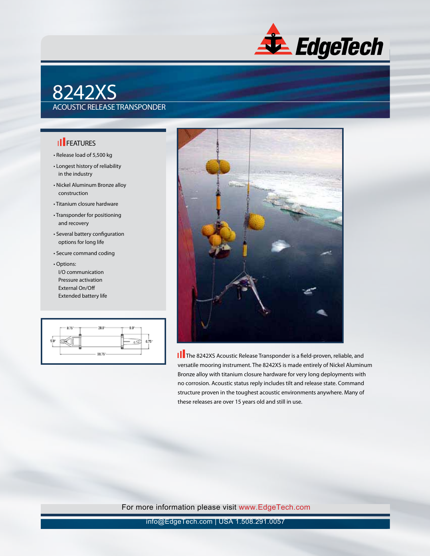

## 8242XS ACOUSTIC RELEASE TRANSPONDER

## **Ill** FEATURES

- Release load of 5,500 kg
- Longest history of reliability in the industry
- Nickel Aluminum Bronze alloy construction
- Titanium closure hardware
- Transponder for positioning and recovery
- Several battery configuration options for long life
- Secure command coding
- Options: I/O communication Pressure activation External On/Off Extended battery life





**II** The 8242XS Acoustic Release Transponder is a field-proven, reliable, and versatile mooring instrument. The 8242XS is made entirely of Nickel Aluminum Bronze alloy with titanium closure hardware for very long deployments with no corrosion. Acoustic status reply includes tilt and release state. Command structure proven in the toughest acoustic environments anywhere. Many of these releases are over 15 years old and still in use.

For more information please visit www.EdgeTech.com

info@EdgeTech.com | USA 1.508.291.0057